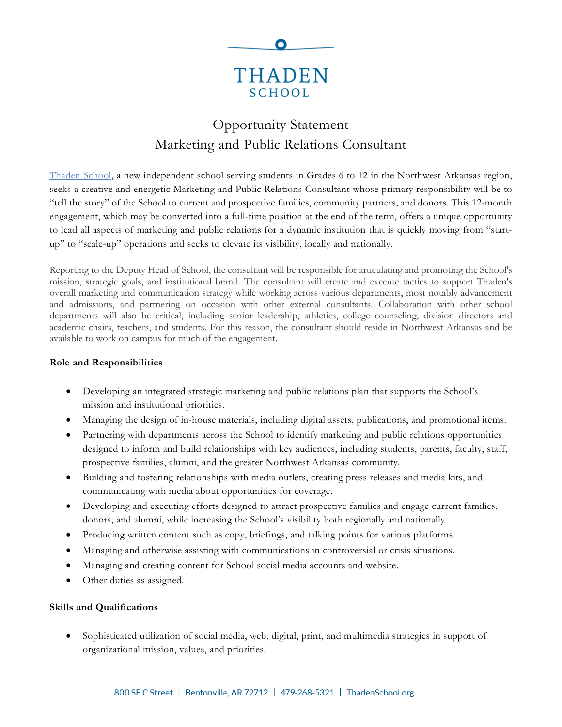

# Opportunity Statement Marketing and Public Relations Consultant

[Thaden](Thaden%20School) School, a new independent school serving students in Grades 6 to 12 in the Northwest Arkansas region, seeks a creative and energetic Marketing and Public Relations Consultant whose primary responsibility will be to "tell the story" of the School to current and prospective families, community partners, and donors. This 12-month engagement, which may be converted into a full-time position at the end of the term, offers a unique opportunity to lead all aspects of marketing and public relations for a dynamic institution that is quickly moving from "startup" to "scale-up" operations and seeks to elevate its visibility, locally and nationally.

Reporting to the Deputy Head of School, the consultant will be responsible for articulating and promoting the School's mission, strategic goals, and institutional brand. The consultant will create and execute tactics to support Thaden's overall marketing and communication strategy while working across various departments, most notably advancement and admissions, and partnering on occasion with other external consultants. Collaboration with other school departments will also be critical, including senior leadership, athletics, college counseling, division directors and academic chairs, teachers, and students. For this reason, the consultant should reside in Northwest Arkansas and be available to work on campus for much of the engagement.

### **Role and Responsibilities**

- Developing an integrated strategic marketing and public relations plan that supports the School's mission and institutional priorities.
- Managing the design of in-house materials, including digital assets, publications, and promotional items.
- Partnering with departments across the School to identify marketing and public relations opportunities designed to inform and build relationships with key audiences, including students, parents, faculty, staff, prospective families, alumni, and the greater Northwest Arkansas community.
- Building and fostering relationships with media outlets, creating press releases and media kits, and communicating with media about opportunities for coverage.
- Developing and executing efforts designed to attract prospective families and engage current families, donors, and alumni, while increasing the School's visibility both regionally and nationally.
- Producing written content such as copy, briefings, and talking points for various platforms.
- Managing and otherwise assisting with communications in controversial or crisis situations.
- Managing and creating content for School social media accounts and website.
- Other duties as assigned.

## **Skills and Qualifications**

• Sophisticated utilization of social media, web, digital, print, and multimedia strategies in support of organizational mission, values, and priorities.